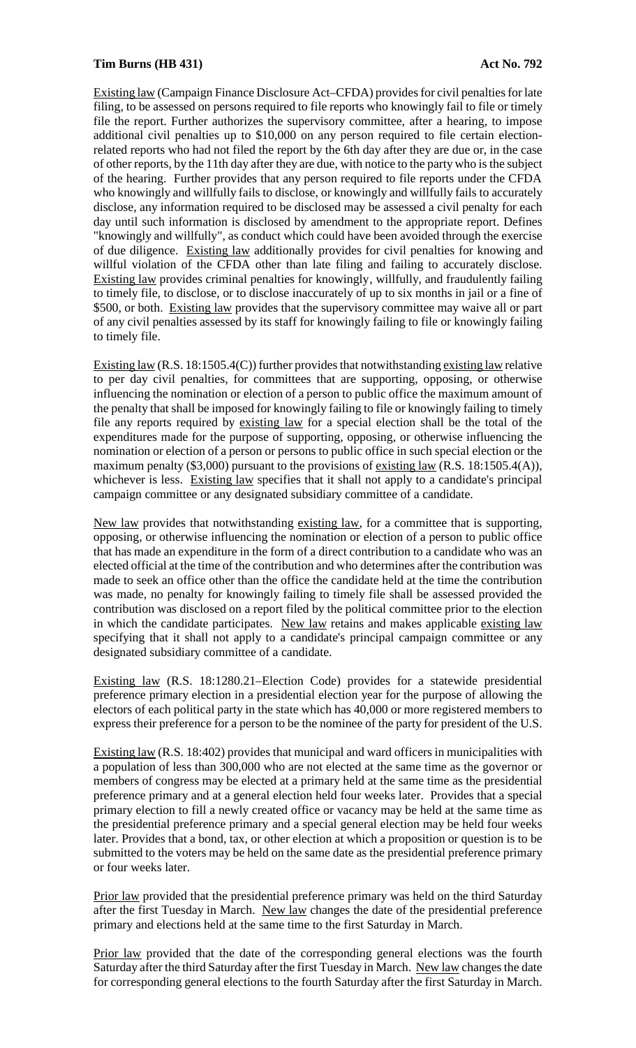## **Tim Burns (HB 431) Act No. 792**

Existing law (Campaign Finance Disclosure Act–CFDA) provides for civil penalties for late filing, to be assessed on persons required to file reports who knowingly fail to file or timely file the report. Further authorizes the supervisory committee, after a hearing, to impose additional civil penalties up to \$10,000 on any person required to file certain electionrelated reports who had not filed the report by the 6th day after they are due or, in the case of other reports, by the 11th day after they are due, with notice to the party who is the subject of the hearing. Further provides that any person required to file reports under the CFDA who knowingly and willfully fails to disclose, or knowingly and willfully fails to accurately disclose, any information required to be disclosed may be assessed a civil penalty for each day until such information is disclosed by amendment to the appropriate report. Defines "knowingly and willfully", as conduct which could have been avoided through the exercise of due diligence. Existing law additionally provides for civil penalties for knowing and willful violation of the CFDA other than late filing and failing to accurately disclose. Existing law provides criminal penalties for knowingly, willfully, and fraudulently failing to timely file, to disclose, or to disclose inaccurately of up to six months in jail or a fine of \$500, or both. Existing law provides that the supervisory committee may waive all or part of any civil penalties assessed by its staff for knowingly failing to file or knowingly failing to timely file.

Existing law (R.S. 18:1505.4(C)) further provides that notwithstanding existing law relative to per day civil penalties, for committees that are supporting, opposing, or otherwise influencing the nomination or election of a person to public office the maximum amount of the penalty that shall be imposed for knowingly failing to file or knowingly failing to timely file any reports required by existing law for a special election shall be the total of the expenditures made for the purpose of supporting, opposing, or otherwise influencing the nomination or election of a person or persons to public office in such special election or the maximum penalty (\$3,000) pursuant to the provisions of existing law (R.S. 18:1505.4(A)), whichever is less. Existing law specifies that it shall not apply to a candidate's principal campaign committee or any designated subsidiary committee of a candidate.

New law provides that notwithstanding existing law, for a committee that is supporting, opposing, or otherwise influencing the nomination or election of a person to public office that has made an expenditure in the form of a direct contribution to a candidate who was an elected official at the time of the contribution and who determines after the contribution was made to seek an office other than the office the candidate held at the time the contribution was made, no penalty for knowingly failing to timely file shall be assessed provided the contribution was disclosed on a report filed by the political committee prior to the election in which the candidate participates. New law retains and makes applicable existing law specifying that it shall not apply to a candidate's principal campaign committee or any designated subsidiary committee of a candidate.

Existing law (R.S. 18:1280.21–Election Code) provides for a statewide presidential preference primary election in a presidential election year for the purpose of allowing the electors of each political party in the state which has 40,000 or more registered members to express their preference for a person to be the nominee of the party for president of the U.S.

Existing law (R.S. 18:402) provides that municipal and ward officers in municipalities with a population of less than 300,000 who are not elected at the same time as the governor or members of congress may be elected at a primary held at the same time as the presidential preference primary and at a general election held four weeks later. Provides that a special primary election to fill a newly created office or vacancy may be held at the same time as the presidential preference primary and a special general election may be held four weeks later. Provides that a bond, tax, or other election at which a proposition or question is to be submitted to the voters may be held on the same date as the presidential preference primary or four weeks later.

Prior law provided that the presidential preference primary was held on the third Saturday after the first Tuesday in March. New law changes the date of the presidential preference primary and elections held at the same time to the first Saturday in March.

Prior law provided that the date of the corresponding general elections was the fourth Saturday after the third Saturday after the first Tuesday in March. New law changes the date for corresponding general elections to the fourth Saturday after the first Saturday in March.